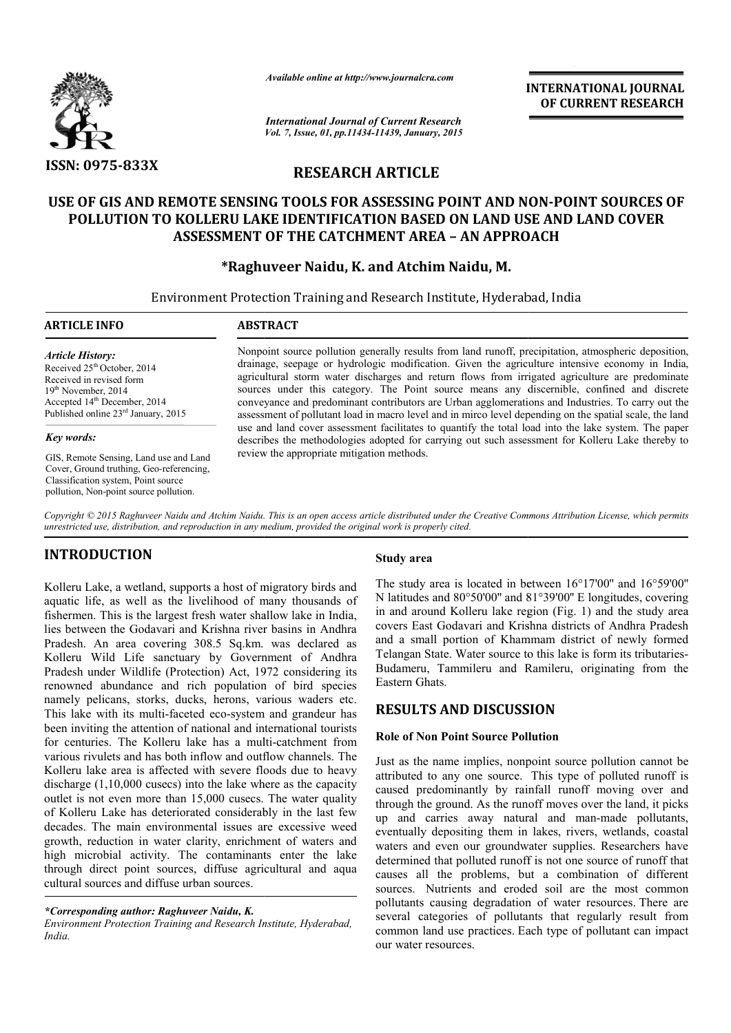

*Available online at http://www.journalcra.com*

**INTERNATIONAL INTERNATIONAL JOURNAL OF CURRENT RESEARCH** 

*International Journal of Current Research Vol. 7, Issue, 01, pp.11434-11439, January, 2015*

# **RESEARCH ARTICLE**

# **USE OF GIS AND REMOTE SENSING TOOLS FOR E ASSESSING POINT AND NON NON-POINT SOURCES OF POLLUTION TO KOLLERU LAKE IDENTIFICATION BASED ON LAND USE AN USE AND LAND COVER ASSESSMENT OF THE CATCHMENT AREA – AN APPROACH**

# **\*Raghuveer Naidu Raghuveer Naidu, K. and Atchim Naidu, M.**

Environment Protection Training and Research Institute, Hyderabad, India 1

#### **ARTICLE INFO ABSTRACT**

*Article History:* Received  $25<sup>th</sup>$  October, 2014 Received in revised form 19th November, 2014 Accepted 14<sup>th</sup> December, 2014 Published online 23<sup>rd</sup> January, 2015

#### *Key words:*

GIS, Remote Sensing, Land use and Land Cover, Ground truthing, Geo-referencing, Classification system, Point source pollution, Non-point source pollution.

Nonpoint source pollution generally results from land runoff, precipitation, atmospheric deposition, Nonpoint source pollution generally results from land runoff, precipitation, atmospheric deposition, drainage, seepage or hydrologic modification. Given the agriculture intensive economy in India, agricultural storm water discharges and return flows from irrigated agriculture are predominate sources under this category. The Point source means any discernible, confined and discrete conveyance and predominant contributors are Urban agglomerations and Industries. To carry out the assessment of pollutant load in macro level and in mirco level depending on the spatial scale, the land use and land cover assessment facilitates to quantify the total load into the lake system. The paper describes the methodologies adopted for carrying out such assessment for Kolleru Lake thereby to review the appropriate mitigation methods. all storm water discharges and return flows from irrigated agriculture are predominate inder this category. The Point source means any discernible, confined and discrete ee and predominant contributors are Urban agglomerat

*Copyright © 2015 Raghuveer Naidu and Atchim Naidu. This is an open access article distributed under the Creative Commons Att Commons Attribution License, which permits unrestricted use, distribution, and reproduction in any medium, provided the original work is properly cited.*

# **INTRODUCTION**

Kolleru Lake, a wetland, supports a host of migratory birds and aquatic life, as well as the livelihood of many thousands of fishermen. This is the largest fresh water shallow lake in India, lies between the Godavari and Krishna river basins in Andhra Pradesh. An area covering 308.5 Sq.km. was declared as Kolleru Wild Life sanctuary by Government of Andhra Pradesh under Wildlife (Protection) Act, 1972 considering its renowned abundance and rich population of bird species namely pelicans, storks, ducks, herons, various waders etc. This lake with its multi-faceted eco-system and grandeur has been inviting the attention of national and international tourists for centuries. The Kolleru lake has a multi various rivulets and has both inflow and outflow channels. The Kolleru lake area is affected with severe floods due to heavy discharge (1,10,000 cusecs) into the lake where as the capacity outlet is not even more than 15,000 cusecs. The water quality of Kolleru Lake has deteriorated considerably in the last few decades. The main environmental issues are excessive weed growth, reduction in water clarity, enrichment of waters and high microbial activity. The contaminants enter the lake through direct point sources, diffuse agricultural and aqua cultural sources and diffuse urban sources. system and grandeur has<br>and international tourists<br>a multi-catchment from **Study area**<br>
setland, supports a host of migratory birds and<br>
real as the livelihood of many thousands of<br>
Natitudes<br>
in and arous<br>
Godavari and Krishna river basins in Andhra<br>
Godavari and Krishna river basins in Andhra<br>

### *\*Corresponding author: Raghuveer Naidu, K.*

*Environment Protection Training and Research Institute, Hyderabad, India.*

The study area is located in between 16°17'00'' and 16°59'00'' N latitudes and 80°50'00'' and 81°39'00'' E longitudes, covering in and around Kolleru lake region (Fig. 1) and the study area covers East Godavari and Krishna districts of Andhra Pradesh and a small portion of Khammam dis Telangan State. Water source to this lake is form its tributaries-Budameru, Tammileru and Ramileru, originating from the Eastern Ghats. ady area is located in between 16°17'00" and 16°59'00" ades and 80°50'00" and 81°39'00" E longitudes, covering around Kolleru lake region (Fig. 1) and the study area East Godavari and Krishna districts of Andhra Pradesh sm

## **RESULTS AND DISCUSSION**

## **Role of Non Point Source Pollution Point Source Pollution**

Just as the name implies, nonpoint source pollution cannot be Just as the name implies, nonpoint source pollution cannot be attributed to any one source. This type of polluted runoff is caused predominantly by rainfall runoff moving over and through the ground. As the runoff moves over the land, it picks through the ground. As the runoff moves over the land, it picks<br>up and carries away natural and man-made pollutants, eventually depositing them in lakes, rivers, wetlands, coastal waters and even our groundwater supplies. Researchers have determined that polluted runoff is not one source of runoff that causes all the problems, but a combination of different sources. Nutrients and eroded soil are the most common sources. Nutrients and eroded soil are the most common pollutants causing degradation of water resources. There are several categories of pollutants that regularly result from several categories of pollutants that regularly result from common land use practices. Each type of pollutant can impact our water resources. eventually depositing them in lakes, rivers, wetlands, coastal<br>waters and even our groundwater supplies. Researchers have<br>determined that polluted runoff is not one source of runoff that<br>causes all the problems, but a comb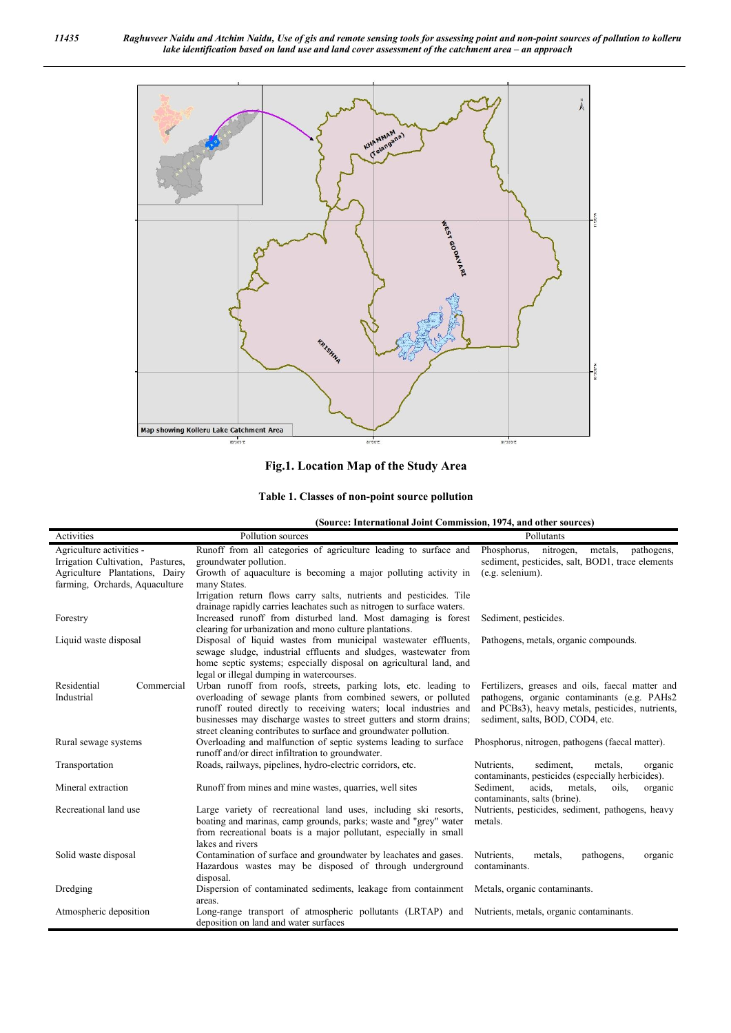

## **Fig.1. Location Map of the Study Area**

**Table 1. Classes of non-point source pollution**

**(Source: International Joint Commission, 1974, and other sources)**

| Activities                        | Pollution sources                                                                                                         | Pollutants                                                                        |  |  |  |
|-----------------------------------|---------------------------------------------------------------------------------------------------------------------------|-----------------------------------------------------------------------------------|--|--|--|
| Agriculture activities -          | Runoff from all categories of agriculture leading to surface and                                                          | Phosphorus.<br>metals.<br>pathogens.<br>nitrogen,                                 |  |  |  |
| Irrigation Cultivation, Pastures, | groundwater pollution.                                                                                                    | sediment, pesticides, salt, BOD1, trace elements                                  |  |  |  |
| Agriculture Plantations, Dairy    | Growth of aquaculture is becoming a major polluting activity in                                                           | $(e.g.$ selenium).                                                                |  |  |  |
| farming, Orchards, Aquaculture    | many States.                                                                                                              |                                                                                   |  |  |  |
|                                   | Irrigation return flows carry salts, nutrients and pesticides. Tile                                                       |                                                                                   |  |  |  |
|                                   | drainage rapidly carries leachates such as nitrogen to surface waters.                                                    |                                                                                   |  |  |  |
| Forestry                          | Increased runoff from disturbed land. Most damaging is forest                                                             | Sediment, pesticides.                                                             |  |  |  |
| Liquid waste disposal             | clearing for urbanization and mono culture plantations.<br>Disposal of liquid wastes from municipal wastewater effluents, | Pathogens, metals, organic compounds.                                             |  |  |  |
|                                   | sewage sludge, industrial effluents and sludges, wastewater from                                                          |                                                                                   |  |  |  |
|                                   | home septic systems; especially disposal on agricultural land, and                                                        |                                                                                   |  |  |  |
|                                   | legal or illegal dumping in watercourses.                                                                                 |                                                                                   |  |  |  |
| Residential<br>Commercial         | Urban runoff from roofs, streets, parking lots, etc. leading to                                                           | Fertilizers, greases and oils, faecal matter and                                  |  |  |  |
| Industrial                        | overloading of sewage plants from combined sewers, or polluted                                                            | pathogens, organic contaminants (e.g. PAHs2)                                      |  |  |  |
|                                   | runoff routed directly to receiving waters; local industries and                                                          | and PCBs3), heavy metals, pesticides, nutrients,                                  |  |  |  |
|                                   | businesses may discharge wastes to street gutters and storm drains;                                                       | sediment, salts, BOD, COD4, etc.                                                  |  |  |  |
|                                   | street cleaning contributes to surface and groundwater pollution.                                                         |                                                                                   |  |  |  |
| Rural sewage systems              | Overloading and malfunction of septic systems leading to surface                                                          | Phosphorus, nitrogen, pathogens (faecal matter).                                  |  |  |  |
|                                   | runoff and/or direct infiltration to groundwater.                                                                         |                                                                                   |  |  |  |
| Transportation                    | Roads, railways, pipelines, hydro-electric corridors, etc.                                                                | sediment.<br>Nutrients,<br>metals.<br>organic                                     |  |  |  |
|                                   |                                                                                                                           | contaminants, pesticides (especially herbicides).                                 |  |  |  |
| Mineral extraction                | Runoff from mines and mine wastes, quarries, well sites                                                                   | Sediment,<br>acids.<br>metals.<br>oils,<br>organic                                |  |  |  |
| Recreational land use             | Large variety of recreational land uses, including ski resorts,                                                           | contaminants, salts (brine).<br>Nutrients, pesticides, sediment, pathogens, heavy |  |  |  |
|                                   | boating and marinas, camp grounds, parks; waste and "grey" water                                                          | metals.                                                                           |  |  |  |
|                                   | from recreational boats is a major pollutant, especially in small                                                         |                                                                                   |  |  |  |
|                                   | lakes and rivers                                                                                                          |                                                                                   |  |  |  |
| Solid waste disposal              | Contamination of surface and groundwater by leachates and gases.                                                          | Nutrients,<br>pathogens,<br>metals.<br>organic                                    |  |  |  |
|                                   | Hazardous wastes may be disposed of through underground                                                                   | contaminants.                                                                     |  |  |  |
|                                   | disposal.                                                                                                                 |                                                                                   |  |  |  |
| Dredging                          | Dispersion of contaminated sediments, leakage from containment                                                            | Metals, organic contaminants.                                                     |  |  |  |
|                                   | areas.                                                                                                                    |                                                                                   |  |  |  |
| Atmospheric deposition            | Long-range transport of atmospheric pollutants (LRTAP) and                                                                | Nutrients, metals, organic contaminants.                                          |  |  |  |
|                                   | deposition on land and water surfaces                                                                                     |                                                                                   |  |  |  |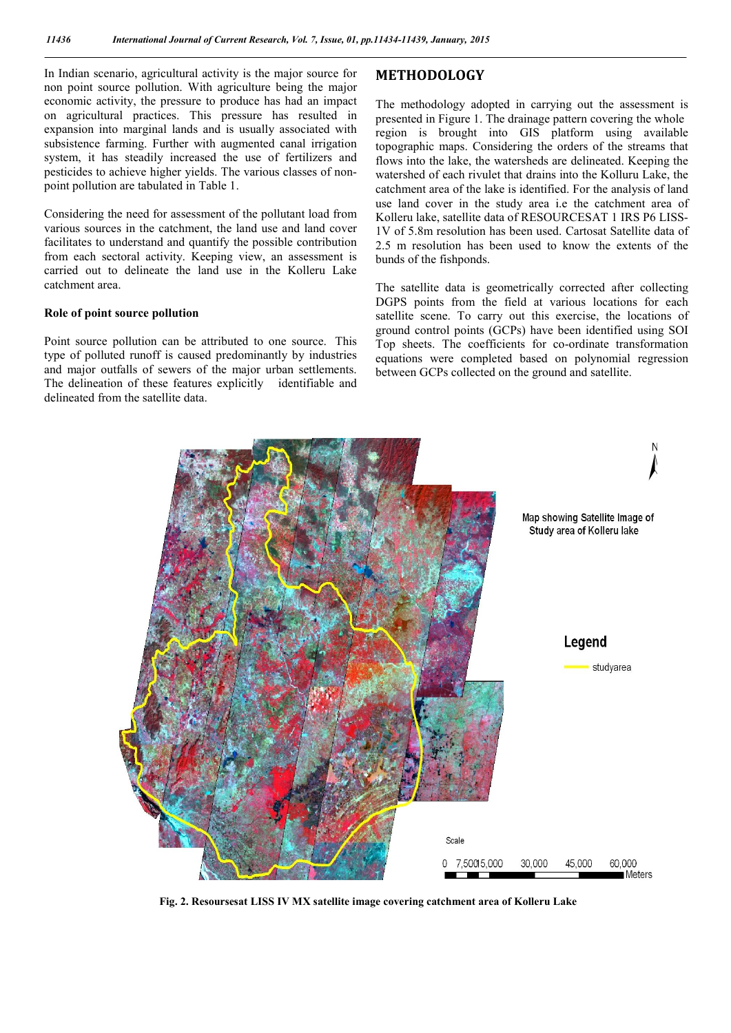In Indian scenario, agricultural activity is the major source for non point source pollution. With agriculture being the major economic activity, the pressure to produce has had an impact on agricultural practices. This pressure has resulted in expansion into marginal lands and is usually associated with subsistence farming. Further with augmented canal irrigation system, it has steadily increased the use of fertilizers and pesticides to achieve higher yields. The various classes of nonpoint pollution are tabulated in Table 1.

Considering the need for assessment of the pollutant load from various sources in the catchment, the land use and land cover facilitates to understand and quantify the possible contribution from each sectoral activity. Keeping view, an assessment is carried out to delineate the land use in the Kolleru Lake catchment area.

#### **Role of point source pollution**

Point source pollution can be attributed to one source. This type of polluted runoff is caused predominantly by industries and major outfalls of sewers of the major urban settlements. The delineation of these features explicitly identifiable and delineated from the satellite data.

## **METHODOLOGY**

The methodology adopted in carrying out the assessment is presented in Figure 1. The drainage pattern covering the whole region is brought into GIS platform using available topographic maps. Considering the orders of the streams that flows into the lake, the watersheds are delineated. Keeping the watershed of each rivulet that drains into the Kolluru Lake, the catchment area of the lake is identified. For the analysis of land use land cover in the study area i.e the catchment area of Kolleru lake, satellite data of RESOURCESAT 1 IRS P6 LISS-1V of 5.8m resolution has been used. Cartosat Satellite data of 2.5 m resolution has been used to know the extents of the bunds of the fishponds.

The satellite data is geometrically corrected after collecting DGPS points from the field at various locations for each satellite scene. To carry out this exercise, the locations of ground control points (GCPs) have been identified using SOI Top sheets. The coefficients for co-ordinate transformation equations were completed based on polynomial regression between GCPs collected on the ground and satellite.



**Fig. 2. Resoursesat LISS IV MX satellite image covering catchment area of Kolleru Lake**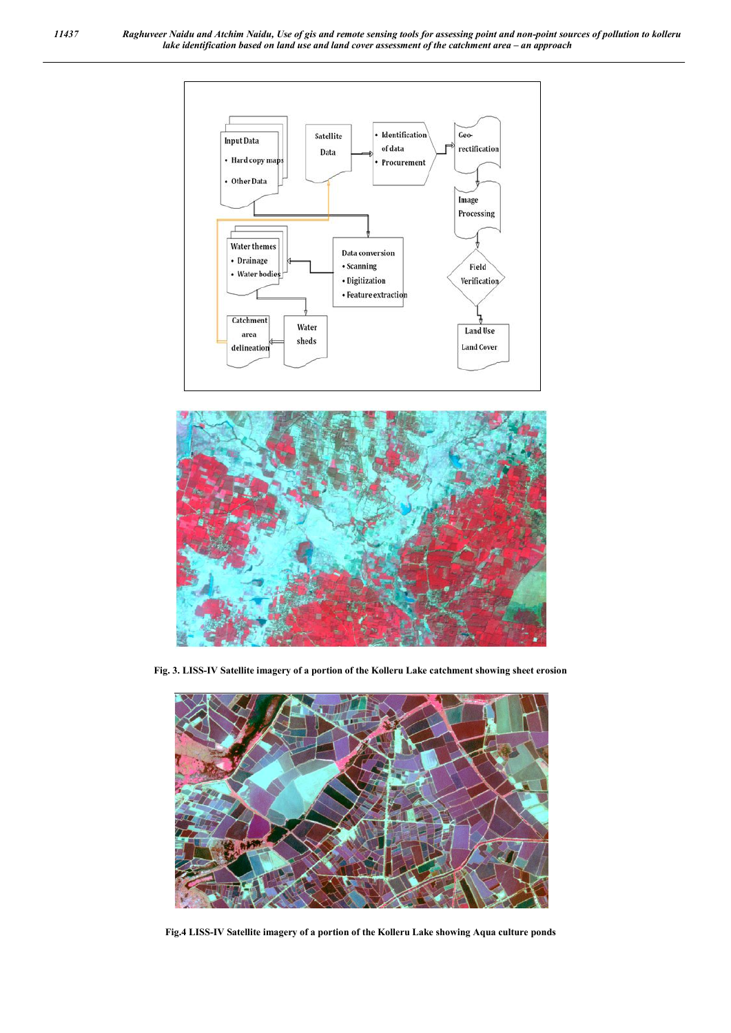



**Fig. 3. LISS-IV Satellite imagery of a portion of the Kolleru Lake catchment showing sheet erosion**



**Fig.4 LISS-IV Satellite imagery of a portion of the Kolleru Lake showing Aqua culture ponds**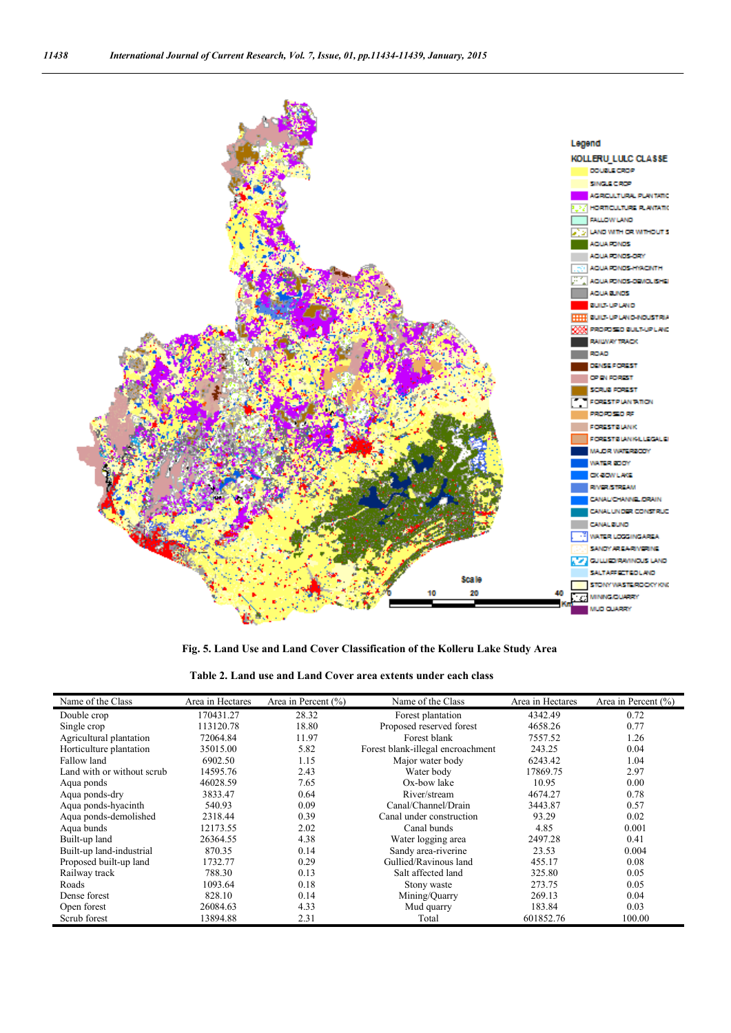

**Fig. 5. Land Use and Land Cover Classification of the Kolleru Lake Study Area**

|  | Table 2. Land use and Land Cover area extents under each class |  |  |  |  |
|--|----------------------------------------------------------------|--|--|--|--|
|--|----------------------------------------------------------------|--|--|--|--|

| Name of the Class          | Area in Hectares | Area in Percent $(\% )$ | Name of the Class                 | Area in Hectares | Area in Percent $(\% )$ |
|----------------------------|------------------|-------------------------|-----------------------------------|------------------|-------------------------|
| Double crop                | 170431.27        | 28.32                   | Forest plantation                 | 4342.49          | 0.72                    |
| Single crop                | 113120.78        | 18.80                   | Proposed reserved forest          | 4658.26          | 0.77                    |
| Agricultural plantation    | 72064.84         | 11.97                   | Forest blank                      | 7557.52          | 1.26                    |
| Horticulture plantation    | 35015.00         | 5.82                    | Forest blank-illegal encroachment | 243.25           | 0.04                    |
| Fallow land                | 6902.50          | 1.15                    | Major water body                  | 6243.42          | 1.04                    |
| Land with or without scrub | 14595.76         | 2.43                    | Water body                        | 17869.75         | 2.97                    |
| Aqua ponds                 | 46028.59         | 7.65                    | Ox-bow lake                       | 10.95            | 0.00                    |
| Aqua ponds-dry             | 3833.47          | 0.64                    | River/stream                      | 4674.27          | 0.78                    |
| Aqua ponds-hyacinth        | 540.93           | 0.09                    | Canal/Channel/Drain               | 3443.87          | 0.57                    |
| Aqua ponds-demolished      | 2318.44          | 0.39                    | Canal under construction          | 93.29            | 0.02                    |
| Aqua bunds                 | 12173.55         | 2.02                    | Canal bunds                       | 4.85             | 0.001                   |
| Built-up land              | 26364.55         | 4.38                    | Water logging area                | 2497.28          | 0.41                    |
| Built-up land-industrial   | 870.35           | 0.14                    | Sandy area-riverine               | 23.53            | 0.004                   |
| Proposed built-up land     | 1732.77          | 0.29                    | Gullied/Ravinous land             | 455.17           | 0.08                    |
| Railway track              | 788.30           | 0.13                    | Salt affected land                | 325.80           | 0.05                    |
| Roads                      | 1093.64          | 0.18                    | Stony waste                       | 273.75           | 0.05                    |
| Dense forest               | 828.10           | 0.14                    | Mining/Quarry                     | 269.13           | 0.04                    |
| Open forest                | 26084.63         | 4.33                    | Mud quarry                        | 183.84           | 0.03                    |
| Scrub forest               | 13894.88         | 2.31                    | Total                             | 601852.76        | 100.00                  |